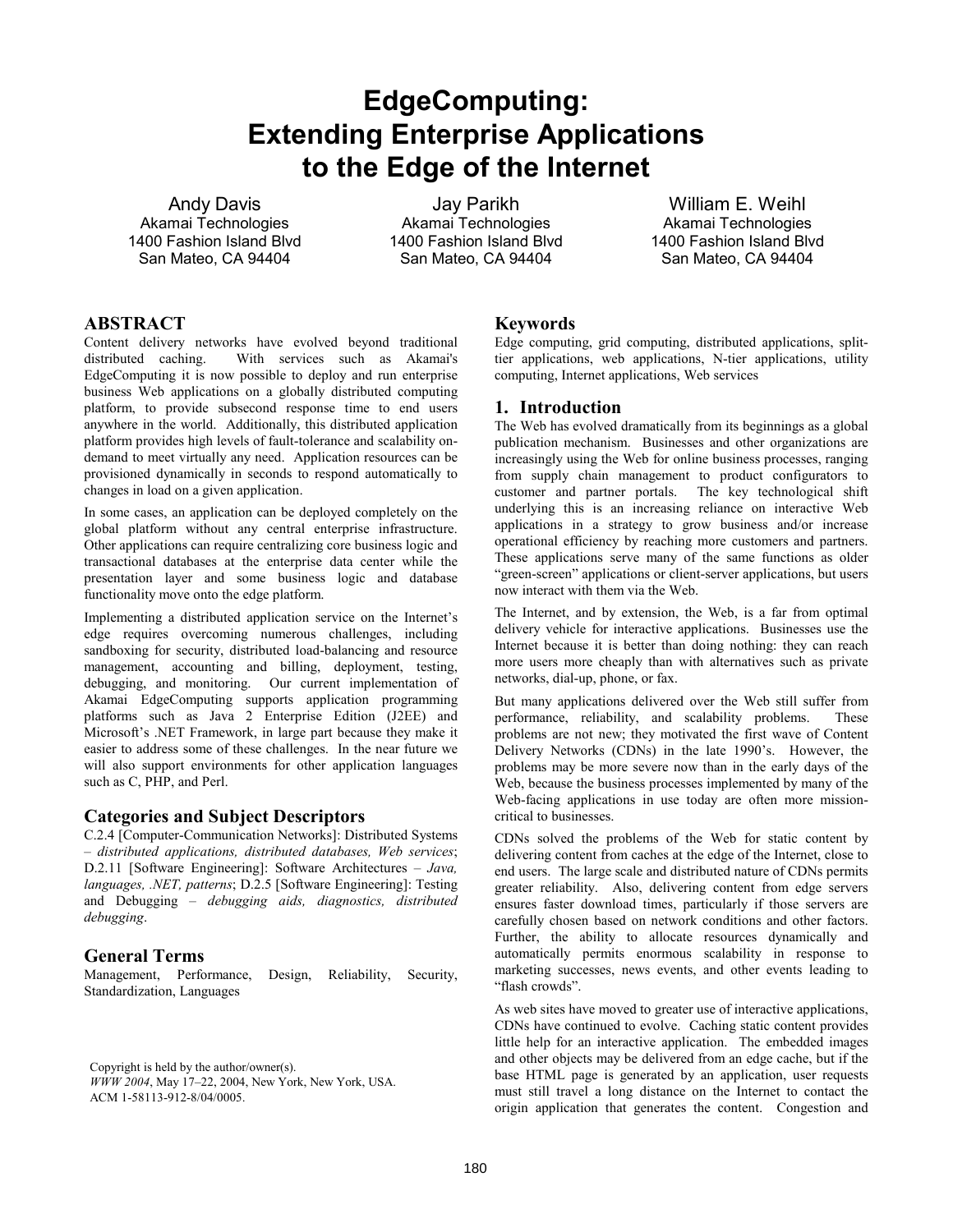# **EdgeComputing: Extending Enterprise Applications to the Edge of the Internet**

Andy Davis Akamai Technologies 1400 Fashion Island Blvd San Mateo, CA 94404

Jay Parikh Akamai Technologies 1400 Fashion Island Blvd San Mateo, CA 94404

William E. Weihl Akamai Technologies 1400 Fashion Island Blvd San Mateo, CA 94404

## **ABSTRACT**

Content delivery networks have evolved beyond traditional distributed caching. With services such as Akamai's EdgeComputing it is now possible to deploy and run enterprise business Web applications on a globally distributed computing platform, to provide subsecond response time to end users anywhere in the world. Additionally, this distributed application platform provides high levels of fault-tolerance and scalability ondemand to meet virtually any need. Application resources can be provisioned dynamically in seconds to respond automatically to changes in load on a given application.

In some cases, an application can be deployed completely on the global platform without any central enterprise infrastructure. Other applications can require centralizing core business logic and transactional databases at the enterprise data center while the presentation layer and some business logic and database functionality move onto the edge platform.

Implementing a distributed application service on the Internet's edge requires overcoming numerous challenges, including sandboxing for security, distributed load-balancing and resource management, accounting and billing, deployment, testing, debugging, and monitoring. Our current implementation of Akamai EdgeComputing supports application programming platforms such as Java 2 Enterprise Edition (J2EE) and Microsoft's .NET Framework, in large part because they make it easier to address some of these challenges. In the near future we will also support environments for other application languages such as C, PHP, and Perl.

#### **Categories and Subject Descriptors**

C.2.4 [Computer-Communication Networks]: Distributed Systems – *distributed applications, distributed databases, Web services*; D.2.11 [Software Engineering]: Software Architectures – *Java, languages, .NET, patterns*; D.2.5 [Software Engineering]: Testing and Debugging – *debugging aids, diagnostics, distributed debugging*.

## **General Terms**

Management, Performance, Design, Reliability, Security, Standardization, Languages

Copyright is held by the author/owner(s). *WWW 2004*, May 17–22, 2004, New York, New York, USA. ACM 1-58113-912-8/04/0005.

## **Keywords**

Edge computing, grid computing, distributed applications, splittier applications, web applications, N-tier applications, utility computing, Internet applications, Web services

#### **1. Introduction**

The Web has evolved dramatically from its beginnings as a global publication mechanism. Businesses and other organizations are increasingly using the Web for online business processes, ranging from supply chain management to product configurators to customer and partner portals. The key technological shift underlying this is an increasing reliance on interactive Web applications in a strategy to grow business and/or increase operational efficiency by reaching more customers and partners. These applications serve many of the same functions as older "green-screen" applications or client-server applications, but users now interact with them via the Web.

The Internet, and by extension, the Web, is a far from optimal delivery vehicle for interactive applications. Businesses use the Internet because it is better than doing nothing: they can reach more users more cheaply than with alternatives such as private networks, dial-up, phone, or fax.

But many applications delivered over the Web still suffer from performance, reliability, and scalability problems. These problems are not new; they motivated the first wave of Content Delivery Networks (CDNs) in the late 1990's. However, the problems may be more severe now than in the early days of the Web, because the business processes implemented by many of the Web-facing applications in use today are often more missioncritical to businesses.

CDNs solved the problems of the Web for static content by delivering content from caches at the edge of the Internet, close to end users. The large scale and distributed nature of CDNs permits greater reliability. Also, delivering content from edge servers ensures faster download times, particularly if those servers are carefully chosen based on network conditions and other factors. Further, the ability to allocate resources dynamically and automatically permits enormous scalability in response to marketing successes, news events, and other events leading to "flash crowds".

As web sites have moved to greater use of interactive applications, CDNs have continued to evolve. Caching static content provides little help for an interactive application. The embedded images and other objects may be delivered from an edge cache, but if the base HTML page is generated by an application, user requests must still travel a long distance on the Internet to contact the origin application that generates the content. Congestion and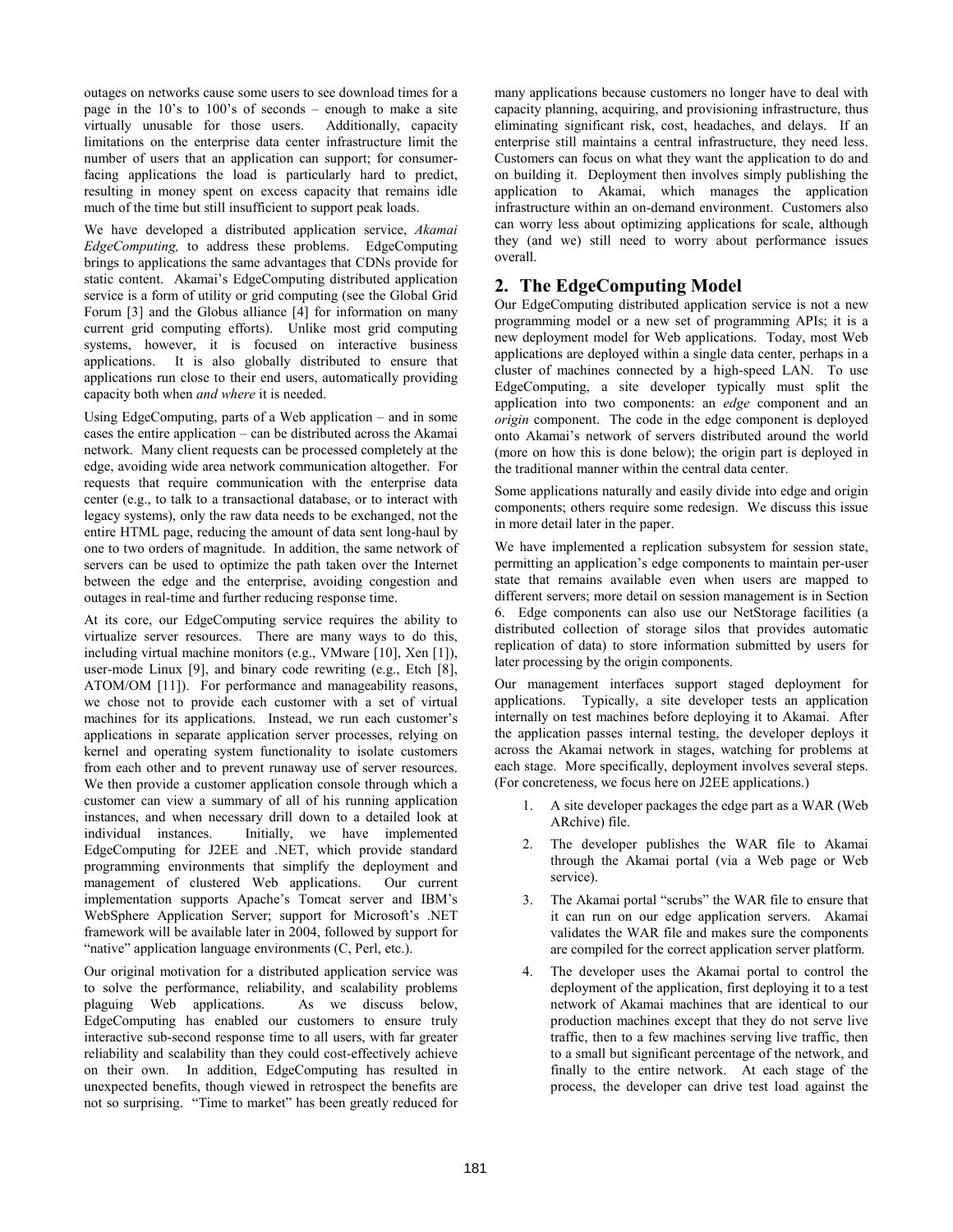outages on networks cause some users to see download times for a page in the 10's to 100's of seconds – enough to make a site virtually unusable for those users. Additionally, capacity limitations on the enterprise data center infrastructure limit the number of users that an application can support; for consumerfacing applications the load is particularly hard to predict, resulting in money spent on excess capacity that remains idle much of the time but still insufficient to support peak loads.

We have developed a distributed application service, *Akamai EdgeComputing,* to address these problems. EdgeComputing brings to applications the same advantages that CDNs provide for static content. Akamai's EdgeComputing distributed application service is a form of utility or grid computing (see the Global Grid Forum [3] and the Globus alliance [4] for information on many current grid computing efforts). Unlike most grid computing systems, however, it is focused on interactive business applications. It is also globally distributed to ensure that applications run close to their end users, automatically providing capacity both when *and where* it is needed.

Using EdgeComputing, parts of a Web application – and in some cases the entire application – can be distributed across the Akamai network. Many client requests can be processed completely at the edge, avoiding wide area network communication altogether. For requests that require communication with the enterprise data center (e.g., to talk to a transactional database, or to interact with legacy systems), only the raw data needs to be exchanged, not the entire HTML page, reducing the amount of data sent long-haul by one to two orders of magnitude. In addition, the same network of servers can be used to optimize the path taken over the Internet between the edge and the enterprise, avoiding congestion and outages in real-time and further reducing response time.

At its core, our EdgeComputing service requires the ability to virtualize server resources. There are many ways to do this, including virtual machine monitors (e.g., VMware [10], Xen [1]), user-mode Linux [9], and binary code rewriting (e.g., Etch [8], ATOM/OM [11]). For performance and manageability reasons, we chose not to provide each customer with a set of virtual machines for its applications. Instead, we run each customer's applications in separate application server processes, relying on kernel and operating system functionality to isolate customers from each other and to prevent runaway use of server resources. We then provide a customer application console through which a customer can view a summary of all of his running application instances, and when necessary drill down to a detailed look at individual instances. Initially, we have implemented EdgeComputing for J2EE and .NET, which provide standard programming environments that simplify the deployment and management of clustered Web applications. Our current implementation supports Apache's Tomcat server and IBM's WebSphere Application Server; support for Microsoft's .NET framework will be available later in 2004, followed by support for "native" application language environments (C, Perl, etc.).

Our original motivation for a distributed application service was to solve the performance, reliability, and scalability problems plaguing Web applications. As we discuss below, EdgeComputing has enabled our customers to ensure truly interactive sub-second response time to all users, with far greater reliability and scalability than they could cost-effectively achieve on their own. In addition, EdgeComputing has resulted in unexpected benefits, though viewed in retrospect the benefits are not so surprising. "Time to market" has been greatly reduced for many applications because customers no longer have to deal with capacity planning, acquiring, and provisioning infrastructure, thus eliminating significant risk, cost, headaches, and delays. If an enterprise still maintains a central infrastructure, they need less. Customers can focus on what they want the application to do and on building it. Deployment then involves simply publishing the application to Akamai, which manages the application infrastructure within an on-demand environment. Customers also can worry less about optimizing applications for scale, although they (and we) still need to worry about performance issues overall.

# **2. The EdgeComputing Model**

Our EdgeComputing distributed application service is not a new programming model or a new set of programming APIs; it is a new deployment model for Web applications. Today, most Web applications are deployed within a single data center, perhaps in a cluster of machines connected by a high-speed LAN. To use EdgeComputing, a site developer typically must split the application into two components: an *edge* component and an *origin* component. The code in the edge component is deployed onto Akamai's network of servers distributed around the world (more on how this is done below); the origin part is deployed in the traditional manner within the central data center.

Some applications naturally and easily divide into edge and origin components; others require some redesign. We discuss this issue in more detail later in the paper.

We have implemented a replication subsystem for session state, permitting an application's edge components to maintain per-user state that remains available even when users are mapped to different servers; more detail on session management is in Section 6. Edge components can also use our NetStorage facilities (a distributed collection of storage silos that provides automatic replication of data) to store information submitted by users for later processing by the origin components.

Our management interfaces support staged deployment for applications. Typically, a site developer tests an application internally on test machines before deploying it to Akamai. After the application passes internal testing, the developer deploys it across the Akamai network in stages, watching for problems at each stage. More specifically, deployment involves several steps. (For concreteness, we focus here on J2EE applications.)

- 1. A site developer packages the edge part as a WAR (Web ARchive) file.
- 2. The developer publishes the WAR file to Akamai through the Akamai portal (via a Web page or Web service).
- 3. The Akamai portal "scrubs" the WAR file to ensure that it can run on our edge application servers. Akamai validates the WAR file and makes sure the components are compiled for the correct application server platform.
- 4. The developer uses the Akamai portal to control the deployment of the application, first deploying it to a test network of Akamai machines that are identical to our production machines except that they do not serve live traffic, then to a few machines serving live traffic, then to a small but significant percentage of the network, and finally to the entire network. At each stage of the process, the developer can drive test load against the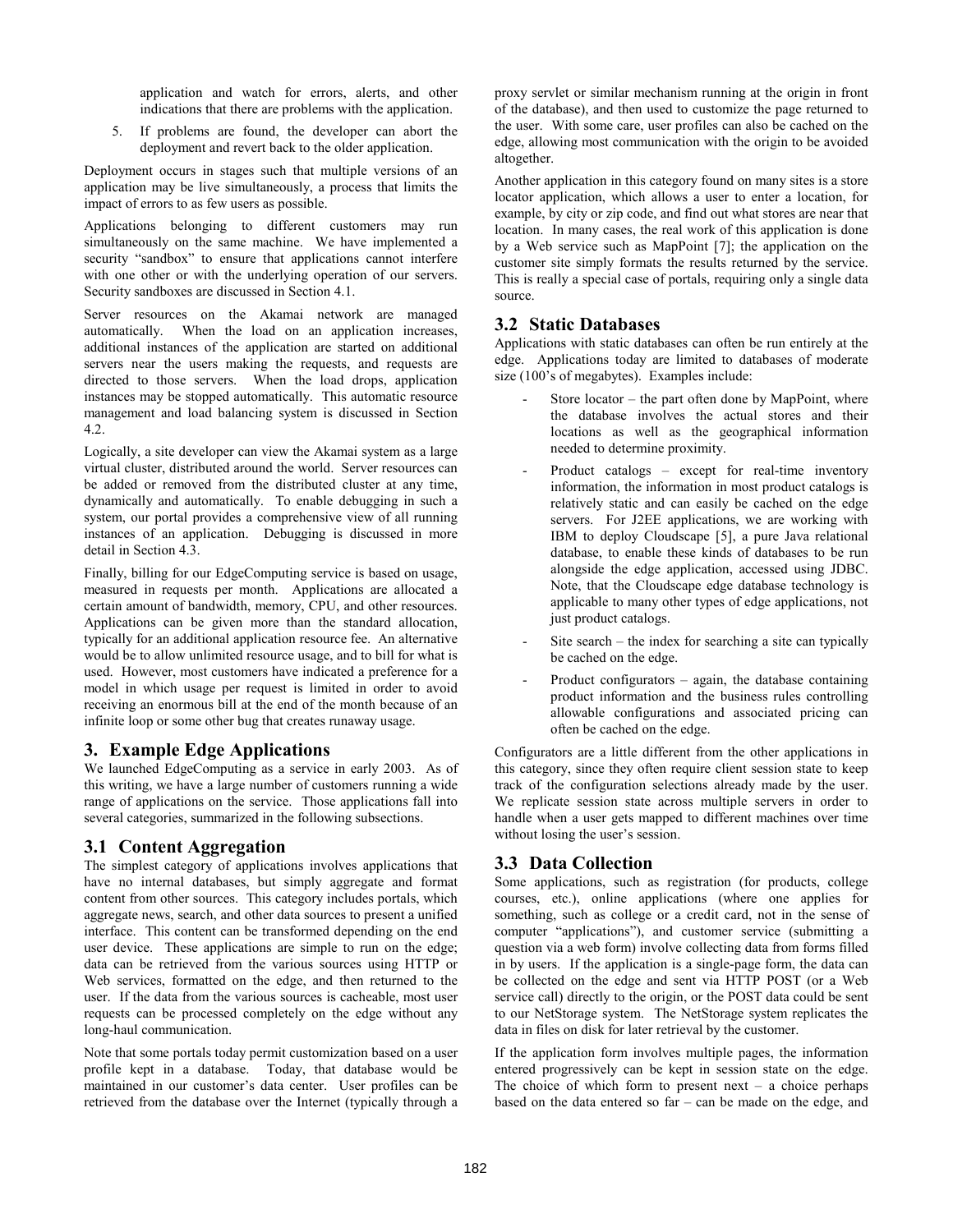application and watch for errors, alerts, and other indications that there are problems with the application.

5. If problems are found, the developer can abort the deployment and revert back to the older application.

Deployment occurs in stages such that multiple versions of an application may be live simultaneously, a process that limits the impact of errors to as few users as possible.

Applications belonging to different customers may run simultaneously on the same machine. We have implemented a security "sandbox" to ensure that applications cannot interfere with one other or with the underlying operation of our servers. Security sandboxes are discussed in Section 4.1.

Server resources on the Akamai network are managed automatically. When the load on an application increases, additional instances of the application are started on additional servers near the users making the requests, and requests are directed to those servers. When the load drops, application instances may be stopped automatically. This automatic resource management and load balancing system is discussed in Section 4.2.

Logically, a site developer can view the Akamai system as a large virtual cluster, distributed around the world. Server resources can be added or removed from the distributed cluster at any time, dynamically and automatically. To enable debugging in such a system, our portal provides a comprehensive view of all running instances of an application. Debugging is discussed in more detail in Section 4.3.

Finally, billing for our EdgeComputing service is based on usage, measured in requests per month. Applications are allocated a certain amount of bandwidth, memory, CPU, and other resources. Applications can be given more than the standard allocation, typically for an additional application resource fee. An alternative would be to allow unlimited resource usage, and to bill for what is used. However, most customers have indicated a preference for a model in which usage per request is limited in order to avoid receiving an enormous bill at the end of the month because of an infinite loop or some other bug that creates runaway usage.

## **3. Example Edge Applications**

We launched EdgeComputing as a service in early 2003. As of this writing, we have a large number of customers running a wide range of applications on the service. Those applications fall into several categories, summarized in the following subsections.

## **3.1 Content Aggregation**

The simplest category of applications involves applications that have no internal databases, but simply aggregate and format content from other sources. This category includes portals, which aggregate news, search, and other data sources to present a unified interface. This content can be transformed depending on the end user device. These applications are simple to run on the edge; data can be retrieved from the various sources using HTTP or Web services, formatted on the edge, and then returned to the user. If the data from the various sources is cacheable, most user requests can be processed completely on the edge without any long-haul communication.

Note that some portals today permit customization based on a user profile kept in a database. Today, that database would be maintained in our customer's data center. User profiles can be retrieved from the database over the Internet (typically through a

proxy servlet or similar mechanism running at the origin in front of the database), and then used to customize the page returned to the user. With some care, user profiles can also be cached on the edge, allowing most communication with the origin to be avoided altogether.

Another application in this category found on many sites is a store locator application, which allows a user to enter a location, for example, by city or zip code, and find out what stores are near that location. In many cases, the real work of this application is done by a Web service such as MapPoint [7]; the application on the customer site simply formats the results returned by the service. This is really a special case of portals, requiring only a single data source.

## **3.2 Static Databases**

Applications with static databases can often be run entirely at the edge. Applications today are limited to databases of moderate size (100's of megabytes). Examples include:

- Store locator the part often done by MapPoint, where the database involves the actual stores and their locations as well as the geographical information needed to determine proximity.
- Product catalogs except for real-time inventory information, the information in most product catalogs is relatively static and can easily be cached on the edge servers. For J2EE applications, we are working with IBM to deploy Cloudscape [5], a pure Java relational database, to enable these kinds of databases to be run alongside the edge application, accessed using JDBC. Note, that the Cloudscape edge database technology is applicable to many other types of edge applications, not just product catalogs.
- Site search the index for searching a site can typically be cached on the edge.
- Product configurators  $-$  again, the database containing product information and the business rules controlling allowable configurations and associated pricing can often be cached on the edge.

Configurators are a little different from the other applications in this category, since they often require client session state to keep track of the configuration selections already made by the user. We replicate session state across multiple servers in order to handle when a user gets mapped to different machines over time without losing the user's session.

# **3.3 Data Collection**

Some applications, such as registration (for products, college courses, etc.), online applications (where one applies for something, such as college or a credit card, not in the sense of computer "applications"), and customer service (submitting a question via a web form) involve collecting data from forms filled in by users. If the application is a single-page form, the data can be collected on the edge and sent via HTTP POST (or a Web service call) directly to the origin, or the POST data could be sent to our NetStorage system. The NetStorage system replicates the data in files on disk for later retrieval by the customer.

If the application form involves multiple pages, the information entered progressively can be kept in session state on the edge. The choice of which form to present next – a choice perhaps based on the data entered so far – can be made on the edge, and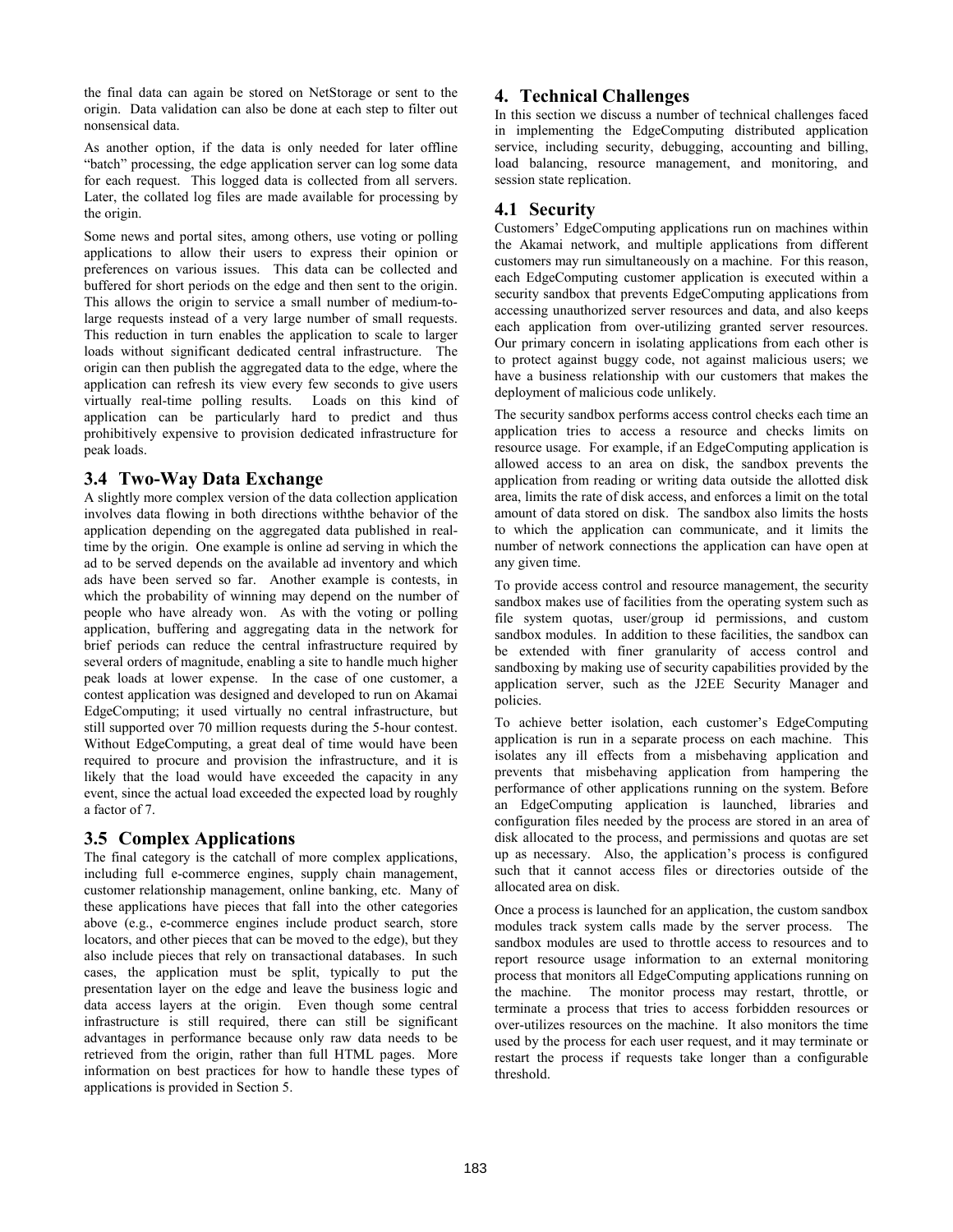the final data can again be stored on NetStorage or sent to the origin. Data validation can also be done at each step to filter out nonsensical data.

As another option, if the data is only needed for later offline "batch" processing, the edge application server can log some data for each request. This logged data is collected from all servers. Later, the collated log files are made available for processing by the origin.

Some news and portal sites, among others, use voting or polling applications to allow their users to express their opinion or preferences on various issues. This data can be collected and buffered for short periods on the edge and then sent to the origin. This allows the origin to service a small number of medium-tolarge requests instead of a very large number of small requests. This reduction in turn enables the application to scale to larger loads without significant dedicated central infrastructure. The origin can then publish the aggregated data to the edge, where the application can refresh its view every few seconds to give users virtually real-time polling results. Loads on this kind of application can be particularly hard to predict and thus prohibitively expensive to provision dedicated infrastructure for peak loads.

## **3.4 Two-Way Data Exchange**

A slightly more complex version of the data collection application involves data flowing in both directions withthe behavior of the application depending on the aggregated data published in realtime by the origin. One example is online ad serving in which the ad to be served depends on the available ad inventory and which ads have been served so far. Another example is contests, in which the probability of winning may depend on the number of people who have already won. As with the voting or polling application, buffering and aggregating data in the network for brief periods can reduce the central infrastructure required by several orders of magnitude, enabling a site to handle much higher peak loads at lower expense. In the case of one customer, a contest application was designed and developed to run on Akamai EdgeComputing; it used virtually no central infrastructure, but still supported over 70 million requests during the 5-hour contest. Without EdgeComputing, a great deal of time would have been required to procure and provision the infrastructure, and it is likely that the load would have exceeded the capacity in any event, since the actual load exceeded the expected load by roughly a factor of 7.

# **3.5 Complex Applications**

The final category is the catchall of more complex applications, including full e-commerce engines, supply chain management, customer relationship management, online banking, etc. Many of these applications have pieces that fall into the other categories above (e.g., e-commerce engines include product search, store locators, and other pieces that can be moved to the edge), but they also include pieces that rely on transactional databases. In such cases, the application must be split, typically to put the presentation layer on the edge and leave the business logic and data access layers at the origin. Even though some central infrastructure is still required, there can still be significant advantages in performance because only raw data needs to be retrieved from the origin, rather than full HTML pages. More information on best practices for how to handle these types of applications is provided in Section 5.

## **4. Technical Challenges**

In this section we discuss a number of technical challenges faced in implementing the EdgeComputing distributed application service, including security, debugging, accounting and billing, load balancing, resource management, and monitoring, and session state replication.

# **4.1 Security**

Customers' EdgeComputing applications run on machines within the Akamai network, and multiple applications from different customers may run simultaneously on a machine. For this reason, each EdgeComputing customer application is executed within a security sandbox that prevents EdgeComputing applications from accessing unauthorized server resources and data, and also keeps each application from over-utilizing granted server resources. Our primary concern in isolating applications from each other is to protect against buggy code, not against malicious users; we have a business relationship with our customers that makes the deployment of malicious code unlikely.

The security sandbox performs access control checks each time an application tries to access a resource and checks limits on resource usage. For example, if an EdgeComputing application is allowed access to an area on disk, the sandbox prevents the application from reading or writing data outside the allotted disk area, limits the rate of disk access, and enforces a limit on the total amount of data stored on disk. The sandbox also limits the hosts to which the application can communicate, and it limits the number of network connections the application can have open at any given time.

To provide access control and resource management, the security sandbox makes use of facilities from the operating system such as file system quotas, user/group id permissions, and custom sandbox modules. In addition to these facilities, the sandbox can be extended with finer granularity of access control and sandboxing by making use of security capabilities provided by the application server, such as the J2EE Security Manager and policies.

To achieve better isolation, each customer's EdgeComputing application is run in a separate process on each machine. This isolates any ill effects from a misbehaving application and prevents that misbehaving application from hampering the performance of other applications running on the system. Before an EdgeComputing application is launched, libraries and configuration files needed by the process are stored in an area of disk allocated to the process, and permissions and quotas are set up as necessary. Also, the application's process is configured such that it cannot access files or directories outside of the allocated area on disk.

Once a process is launched for an application, the custom sandbox modules track system calls made by the server process. The sandbox modules are used to throttle access to resources and to report resource usage information to an external monitoring process that monitors all EdgeComputing applications running on the machine. The monitor process may restart, throttle, or terminate a process that tries to access forbidden resources or over-utilizes resources on the machine. It also monitors the time used by the process for each user request, and it may terminate or restart the process if requests take longer than a configurable threshold.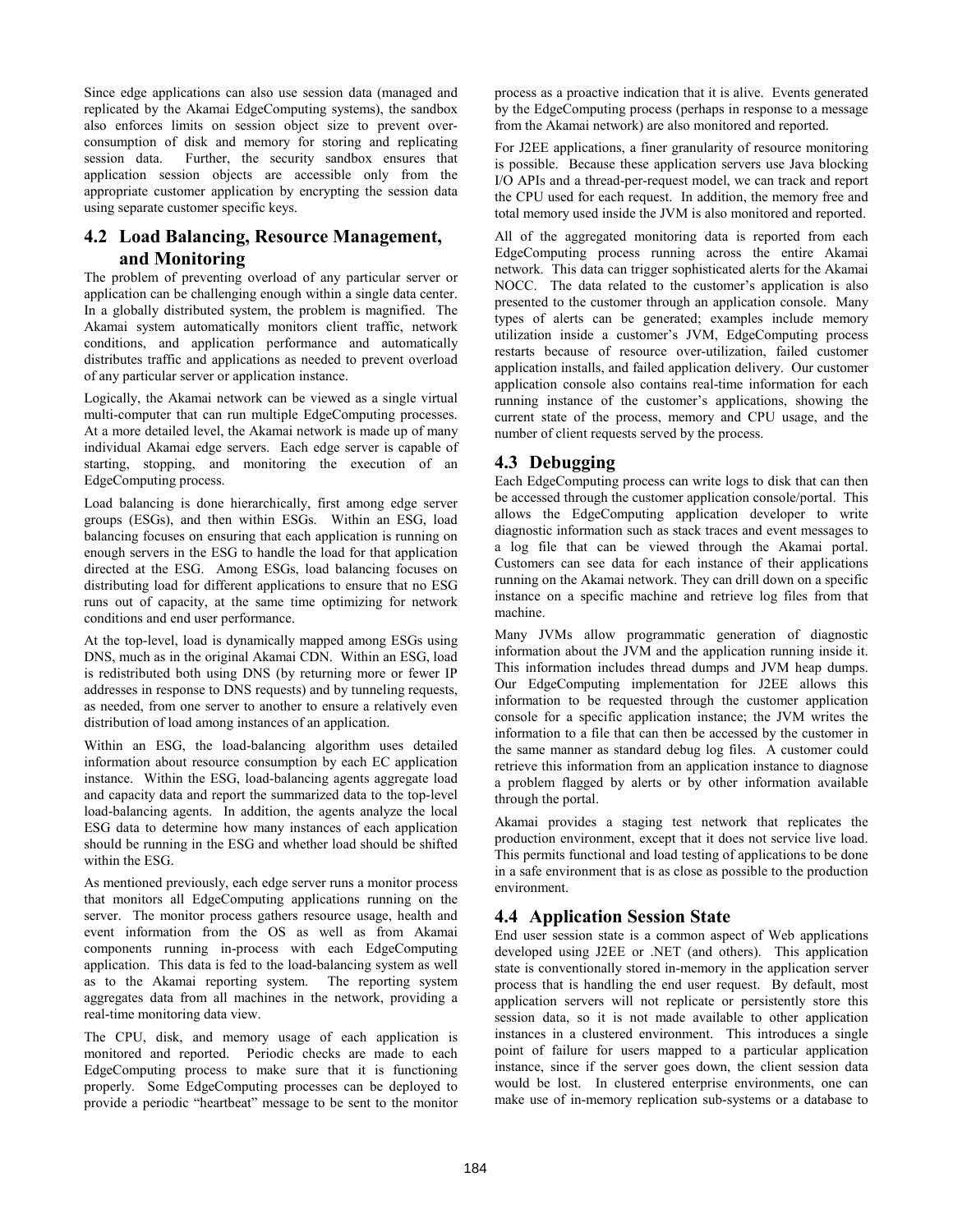Since edge applications can also use session data (managed and replicated by the Akamai EdgeComputing systems), the sandbox also enforces limits on session object size to prevent overconsumption of disk and memory for storing and replicating session data. Further, the security sandbox ensures that application session objects are accessible only from the appropriate customer application by encrypting the session data using separate customer specific keys.

# **4.2 Load Balancing, Resource Management, and Monitoring**

The problem of preventing overload of any particular server or application can be challenging enough within a single data center. In a globally distributed system, the problem is magnified. The Akamai system automatically monitors client traffic, network conditions, and application performance and automatically distributes traffic and applications as needed to prevent overload of any particular server or application instance.

Logically, the Akamai network can be viewed as a single virtual multi-computer that can run multiple EdgeComputing processes. At a more detailed level, the Akamai network is made up of many individual Akamai edge servers. Each edge server is capable of starting, stopping, and monitoring the execution of an EdgeComputing process.

Load balancing is done hierarchically, first among edge server groups (ESGs), and then within ESGs. Within an ESG, load balancing focuses on ensuring that each application is running on enough servers in the ESG to handle the load for that application directed at the ESG. Among ESGs, load balancing focuses on distributing load for different applications to ensure that no ESG runs out of capacity, at the same time optimizing for network conditions and end user performance.

At the top-level, load is dynamically mapped among ESGs using DNS, much as in the original Akamai CDN. Within an ESG, load is redistributed both using DNS (by returning more or fewer IP addresses in response to DNS requests) and by tunneling requests, as needed, from one server to another to ensure a relatively even distribution of load among instances of an application.

Within an ESG, the load-balancing algorithm uses detailed information about resource consumption by each EC application instance. Within the ESG, load-balancing agents aggregate load and capacity data and report the summarized data to the top-level load-balancing agents. In addition, the agents analyze the local ESG data to determine how many instances of each application should be running in the ESG and whether load should be shifted within the ESG.

As mentioned previously, each edge server runs a monitor process that monitors all EdgeComputing applications running on the server. The monitor process gathers resource usage, health and event information from the OS as well as from Akamai components running in-process with each EdgeComputing application. This data is fed to the load-balancing system as well as to the Akamai reporting system. The reporting system aggregates data from all machines in the network, providing a real-time monitoring data view.

The CPU, disk, and memory usage of each application is monitored and reported. Periodic checks are made to each EdgeComputing process to make sure that it is functioning properly. Some EdgeComputing processes can be deployed to provide a periodic "heartbeat" message to be sent to the monitor

process as a proactive indication that it is alive. Events generated by the EdgeComputing process (perhaps in response to a message from the Akamai network) are also monitored and reported.

For J2EE applications, a finer granularity of resource monitoring is possible. Because these application servers use Java blocking I/O APIs and a thread-per-request model, we can track and report the CPU used for each request. In addition, the memory free and total memory used inside the JVM is also monitored and reported.

All of the aggregated monitoring data is reported from each EdgeComputing process running across the entire Akamai network. This data can trigger sophisticated alerts for the Akamai NOCC. The data related to the customer's application is also presented to the customer through an application console. Many types of alerts can be generated; examples include memory utilization inside a customer's JVM, EdgeComputing process restarts because of resource over-utilization, failed customer application installs, and failed application delivery. Our customer application console also contains real-time information for each running instance of the customer's applications, showing the current state of the process, memory and CPU usage, and the number of client requests served by the process.

## **4.3 Debugging**

Each EdgeComputing process can write logs to disk that can then be accessed through the customer application console/portal. This allows the EdgeComputing application developer to write diagnostic information such as stack traces and event messages to a log file that can be viewed through the Akamai portal. Customers can see data for each instance of their applications running on the Akamai network. They can drill down on a specific instance on a specific machine and retrieve log files from that machine.

Many JVMs allow programmatic generation of diagnostic information about the JVM and the application running inside it. This information includes thread dumps and JVM heap dumps. Our EdgeComputing implementation for J2EE allows this information to be requested through the customer application console for a specific application instance; the JVM writes the information to a file that can then be accessed by the customer in the same manner as standard debug log files. A customer could retrieve this information from an application instance to diagnose a problem flagged by alerts or by other information available through the portal.

Akamai provides a staging test network that replicates the production environment, except that it does not service live load. This permits functional and load testing of applications to be done in a safe environment that is as close as possible to the production environment.

## **4.4 Application Session State**

End user session state is a common aspect of Web applications developed using J2EE or .NET (and others). This application state is conventionally stored in-memory in the application server process that is handling the end user request. By default, most application servers will not replicate or persistently store this session data, so it is not made available to other application instances in a clustered environment. This introduces a single point of failure for users mapped to a particular application instance, since if the server goes down, the client session data would be lost. In clustered enterprise environments, one can make use of in-memory replication sub-systems or a database to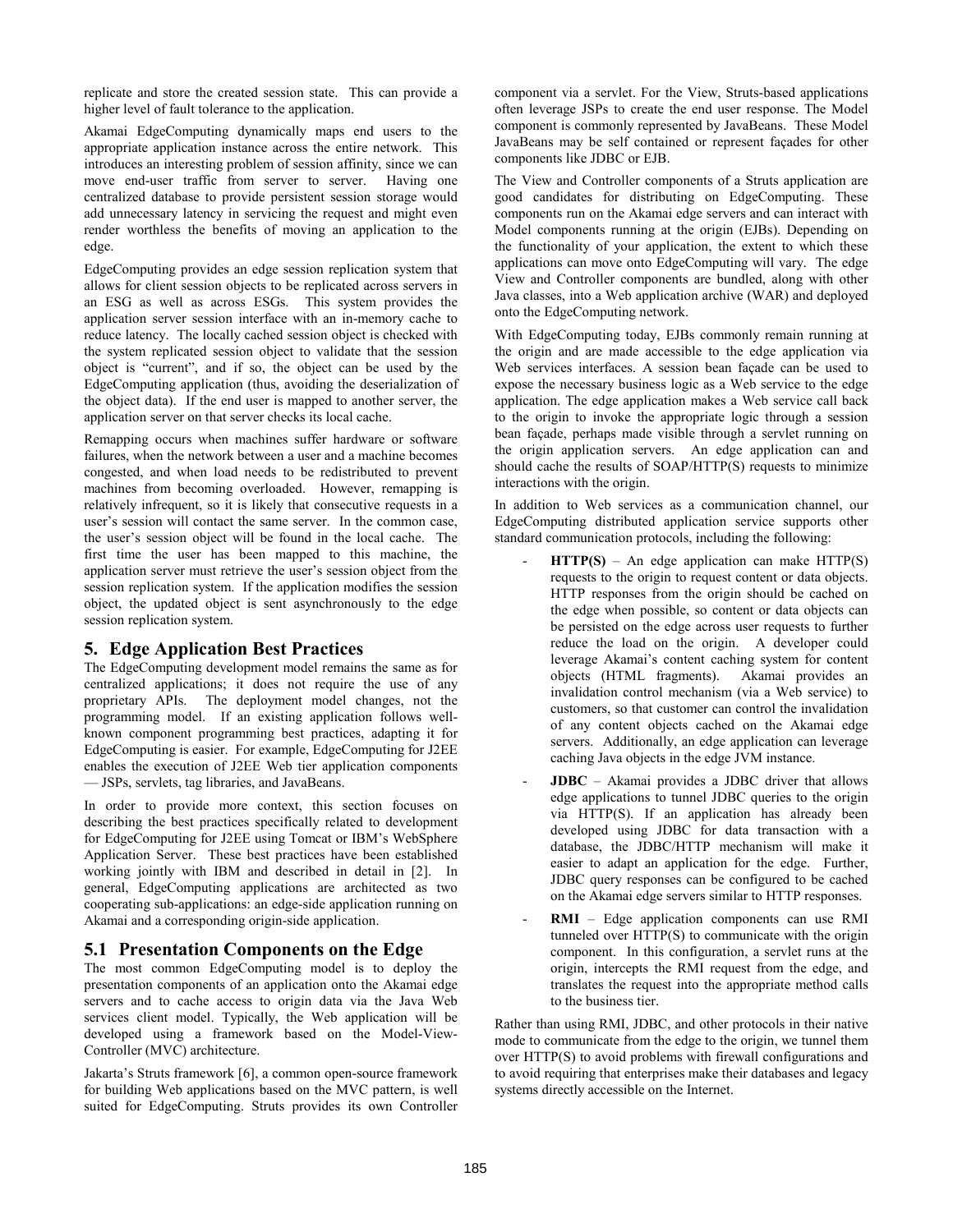replicate and store the created session state. This can provide a higher level of fault tolerance to the application.

Akamai EdgeComputing dynamically maps end users to the appropriate application instance across the entire network. This introduces an interesting problem of session affinity, since we can move end-user traffic from server to server. Having one centralized database to provide persistent session storage would add unnecessary latency in servicing the request and might even render worthless the benefits of moving an application to the edge.

EdgeComputing provides an edge session replication system that allows for client session objects to be replicated across servers in an ESG as well as across ESGs. This system provides the application server session interface with an in-memory cache to reduce latency. The locally cached session object is checked with the system replicated session object to validate that the session object is "current", and if so, the object can be used by the EdgeComputing application (thus, avoiding the deserialization of the object data). If the end user is mapped to another server, the application server on that server checks its local cache.

Remapping occurs when machines suffer hardware or software failures, when the network between a user and a machine becomes congested, and when load needs to be redistributed to prevent machines from becoming overloaded. However, remapping is relatively infrequent, so it is likely that consecutive requests in a user's session will contact the same server. In the common case, the user's session object will be found in the local cache. The first time the user has been mapped to this machine, the application server must retrieve the user's session object from the session replication system. If the application modifies the session object, the updated object is sent asynchronously to the edge session replication system.

## **5. Edge Application Best Practices**

The EdgeComputing development model remains the same as for centralized applications; it does not require the use of any proprietary APIs. The deployment model changes, not the programming model. If an existing application follows wellknown component programming best practices, adapting it for EdgeComputing is easier. For example, EdgeComputing for J2EE enables the execution of J2EE Web tier application components — JSPs, servlets, tag libraries, and JavaBeans.

In order to provide more context, this section focuses on describing the best practices specifically related to development for EdgeComputing for J2EE using Tomcat or IBM's WebSphere Application Server. These best practices have been established working jointly with IBM and described in detail in [2]. In general, EdgeComputing applications are architected as two cooperating sub-applications: an edge-side application running on Akamai and a corresponding origin-side application.

#### **5.1 Presentation Components on the Edge**

The most common EdgeComputing model is to deploy the presentation components of an application onto the Akamai edge servers and to cache access to origin data via the Java Web services client model. Typically, the Web application will be developed using a framework based on the Model-View-Controller (MVC) architecture.

Jakarta's Struts framework [6], a common open-source framework for building Web applications based on the MVC pattern, is well suited for EdgeComputing. Struts provides its own Controller

component via a servlet. For the View, Struts-based applications often leverage JSPs to create the end user response. The Model component is commonly represented by JavaBeans. These Model JavaBeans may be self contained or represent façades for other components like JDBC or EJB.

The View and Controller components of a Struts application are good candidates for distributing on EdgeComputing. These components run on the Akamai edge servers and can interact with Model components running at the origin (EJBs). Depending on the functionality of your application, the extent to which these applications can move onto EdgeComputing will vary. The edge View and Controller components are bundled, along with other Java classes, into a Web application archive (WAR) and deployed onto the EdgeComputing network.

With EdgeComputing today, EJBs commonly remain running at the origin and are made accessible to the edge application via Web services interfaces. A session bean façade can be used to expose the necessary business logic as a Web service to the edge application. The edge application makes a Web service call back to the origin to invoke the appropriate logic through a session bean façade, perhaps made visible through a servlet running on the origin application servers. An edge application can and should cache the results of SOAP/HTTP(S) requests to minimize interactions with the origin.

In addition to Web services as a communication channel, our EdgeComputing distributed application service supports other standard communication protocols, including the following:

- $\text{HTTP}(S)$  An edge application can make HTTP(S) requests to the origin to request content or data objects. HTTP responses from the origin should be cached on the edge when possible, so content or data objects can be persisted on the edge across user requests to further reduce the load on the origin. A developer could leverage Akamai's content caching system for content objects (HTML fragments). Akamai provides an invalidation control mechanism (via a Web service) to customers, so that customer can control the invalidation of any content objects cached on the Akamai edge servers. Additionally, an edge application can leverage caching Java objects in the edge JVM instance.
- **JDBC** Akamai provides a JDBC driver that allows edge applications to tunnel JDBC queries to the origin via HTTP(S). If an application has already been developed using JDBC for data transaction with a database, the JDBC/HTTP mechanism will make it easier to adapt an application for the edge. Further, JDBC query responses can be configured to be cached on the Akamai edge servers similar to HTTP responses.
- **RMI** Edge application components can use RMI tunneled over HTTP(S) to communicate with the origin component. In this configuration, a servlet runs at the origin, intercepts the RMI request from the edge, and translates the request into the appropriate method calls to the business tier.

Rather than using RMI, JDBC, and other protocols in their native mode to communicate from the edge to the origin, we tunnel them over HTTP(S) to avoid problems with firewall configurations and to avoid requiring that enterprises make their databases and legacy systems directly accessible on the Internet.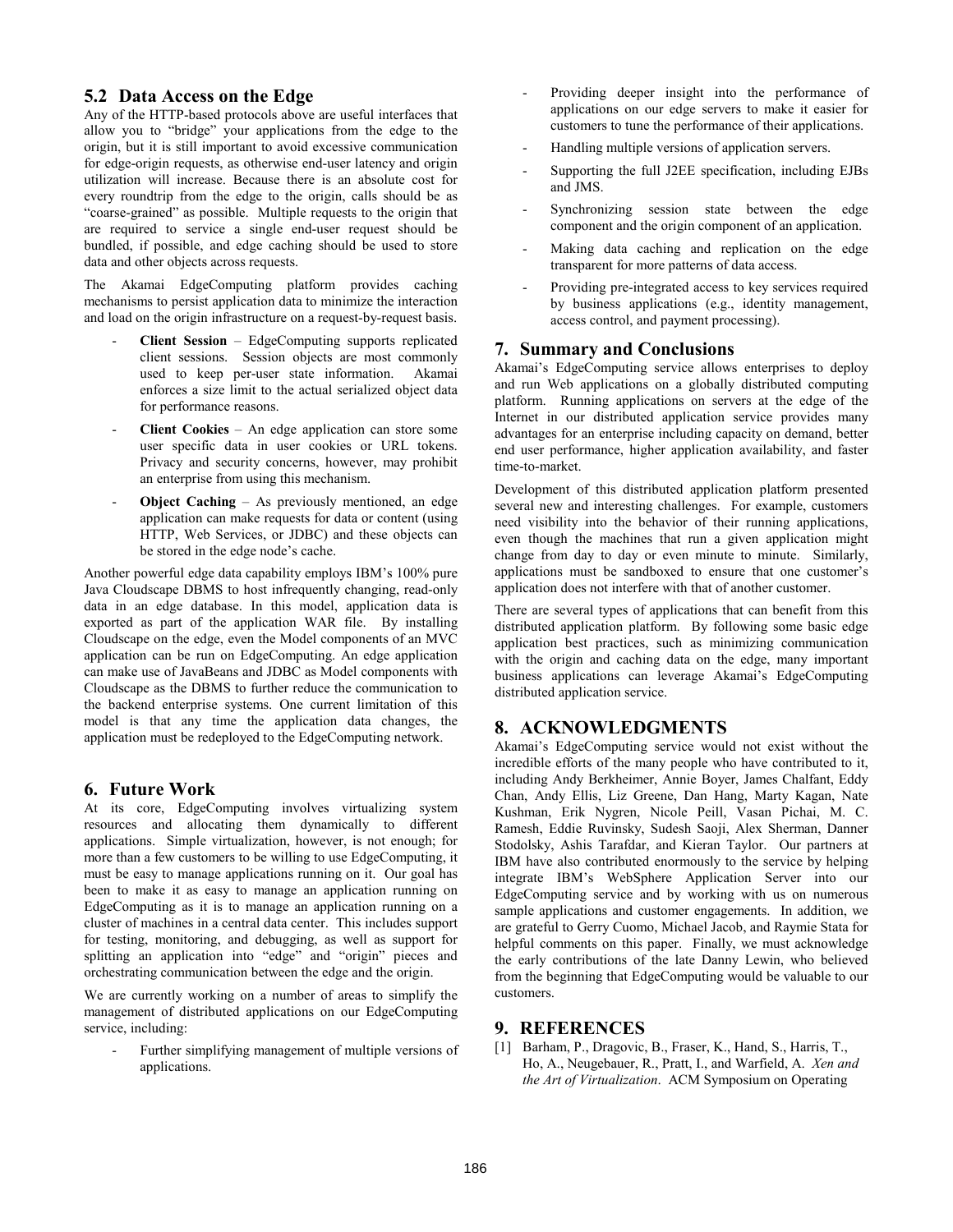#### **5.2 Data Access on the Edge**

Any of the HTTP-based protocols above are useful interfaces that allow you to "bridge" your applications from the edge to the origin, but it is still important to avoid excessive communication for edge-origin requests, as otherwise end-user latency and origin utilization will increase. Because there is an absolute cost for every roundtrip from the edge to the origin, calls should be as "coarse-grained" as possible. Multiple requests to the origin that are required to service a single end-user request should be bundled, if possible, and edge caching should be used to store data and other objects across requests.

The Akamai EdgeComputing platform provides caching mechanisms to persist application data to minimize the interaction and load on the origin infrastructure on a request-by-request basis.

- **Client Session** EdgeComputing supports replicated client sessions. Session objects are most commonly used to keep per-user state information. Akamai enforces a size limit to the actual serialized object data for performance reasons.
- Client Cookies An edge application can store some user specific data in user cookies or URL tokens. Privacy and security concerns, however, may prohibit an enterprise from using this mechanism.
- **Object Caching** As previously mentioned, an edge application can make requests for data or content (using HTTP, Web Services, or JDBC) and these objects can be stored in the edge node's cache.

Another powerful edge data capability employs IBM's 100% pure Java Cloudscape DBMS to host infrequently changing, read-only data in an edge database. In this model, application data is exported as part of the application WAR file. By installing Cloudscape on the edge, even the Model components of an MVC application can be run on EdgeComputing. An edge application can make use of JavaBeans and JDBC as Model components with Cloudscape as the DBMS to further reduce the communication to the backend enterprise systems. One current limitation of this model is that any time the application data changes, the application must be redeployed to the EdgeComputing network.

#### **6. Future Work**

At its core, EdgeComputing involves virtualizing system resources and allocating them dynamically to different applications. Simple virtualization, however, is not enough; for more than a few customers to be willing to use EdgeComputing, it must be easy to manage applications running on it. Our goal has been to make it as easy to manage an application running on EdgeComputing as it is to manage an application running on a cluster of machines in a central data center. This includes support for testing, monitoring, and debugging, as well as support for splitting an application into "edge" and "origin" pieces and orchestrating communication between the edge and the origin.

We are currently working on a number of areas to simplify the management of distributed applications on our EdgeComputing service, including:

Further simplifying management of multiple versions of applications.

- Providing deeper insight into the performance of applications on our edge servers to make it easier for customers to tune the performance of their applications.
- Handling multiple versions of application servers.
- Supporting the full J2EE specification, including EJBs and JMS.
- Synchronizing session state between the edge component and the origin component of an application.
- Making data caching and replication on the edge transparent for more patterns of data access.
- Providing pre-integrated access to key services required by business applications (e.g., identity management, access control, and payment processing).

#### **7. Summary and Conclusions**

Akamai's EdgeComputing service allows enterprises to deploy and run Web applications on a globally distributed computing platform. Running applications on servers at the edge of the Internet in our distributed application service provides many advantages for an enterprise including capacity on demand, better end user performance, higher application availability, and faster time-to-market.

Development of this distributed application platform presented several new and interesting challenges. For example, customers need visibility into the behavior of their running applications, even though the machines that run a given application might change from day to day or even minute to minute. Similarly, applications must be sandboxed to ensure that one customer's application does not interfere with that of another customer.

There are several types of applications that can benefit from this distributed application platform. By following some basic edge application best practices, such as minimizing communication with the origin and caching data on the edge, many important business applications can leverage Akamai's EdgeComputing distributed application service.

#### **8. ACKNOWLEDGMENTS**

Akamai's EdgeComputing service would not exist without the incredible efforts of the many people who have contributed to it, including Andy Berkheimer, Annie Boyer, James Chalfant, Eddy Chan, Andy Ellis, Liz Greene, Dan Hang, Marty Kagan, Nate Kushman, Erik Nygren, Nicole Peill, Vasan Pichai, M. C. Ramesh, Eddie Ruvinsky, Sudesh Saoji, Alex Sherman, Danner Stodolsky, Ashis Tarafdar, and Kieran Taylor. Our partners at IBM have also contributed enormously to the service by helping integrate IBM's WebSphere Application Server into our EdgeComputing service and by working with us on numerous sample applications and customer engagements. In addition, we are grateful to Gerry Cuomo, Michael Jacob, and Raymie Stata for helpful comments on this paper. Finally, we must acknowledge the early contributions of the late Danny Lewin, who believed from the beginning that EdgeComputing would be valuable to our customers.

#### **9. REFERENCES**

[1] Barham, P., Dragovic, B., Fraser, K., Hand, S., Harris, T., Ho, A., Neugebauer, R., Pratt, I., and Warfield, A. *Xen and the Art of Virtualization*. ACM Symposium on Operating